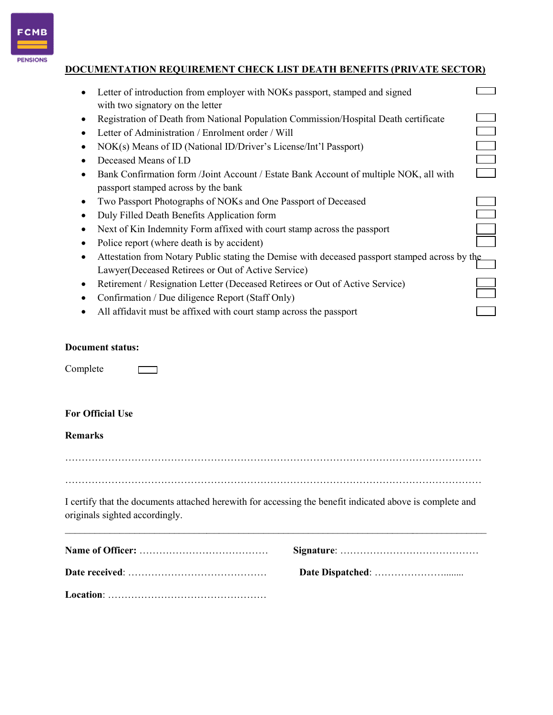

**PENSIONS** 

# DOCUMENTATION REQUIREMENT CHECK LIST DEATH BENEFITS (PRIVATE SECTOR)

| Letter of introduction from employer with NOKs passport, stamped and signed                                                                               |  |
|-----------------------------------------------------------------------------------------------------------------------------------------------------------|--|
| with two signatory on the letter                                                                                                                          |  |
| Registration of Death from National Population Commission/Hospital Death certificate<br>٠                                                                 |  |
| Letter of Administration / Enrolment order / Will                                                                                                         |  |
| NOK(s) Means of ID (National ID/Driver's License/Int'l Passport)<br>٠                                                                                     |  |
| Deceased Means of I.D                                                                                                                                     |  |
| Bank Confirmation form /Joint Account / Estate Bank Account of multiple NOK, all with<br>passport stamped across by the bank                              |  |
| Two Passport Photographs of NOKs and One Passport of Deceased<br>٠                                                                                        |  |
| Duly Filled Death Benefits Application form<br>٠                                                                                                          |  |
| Next of Kin Indemnity Form affixed with court stamp across the passport<br>٠                                                                              |  |
| Police report (where death is by accident)                                                                                                                |  |
| Attestation from Notary Public stating the Demise with deceased passport stamped across by the<br>٠<br>Lawyer(Deceased Retirees or Out of Active Service) |  |
| Retirement / Resignation Letter (Deceased Retirees or Out of Active Service)<br>٠                                                                         |  |
| Confirmation / Due diligence Report (Staff Only)                                                                                                          |  |
| All affidavit must be affixed with court stamp across the passport                                                                                        |  |
| ocument status:<br>omplete                                                                                                                                |  |
| or Official Use                                                                                                                                           |  |
| emarks                                                                                                                                                    |  |
|                                                                                                                                                           |  |
| certify that the documents attached herewith for accessing the benefit indicated above is complete and<br>riginals sighted accordingly.                   |  |
|                                                                                                                                                           |  |
|                                                                                                                                                           |  |
|                                                                                                                                                           |  |

### Document status:

Complete

## For Official Use

#### Remarks